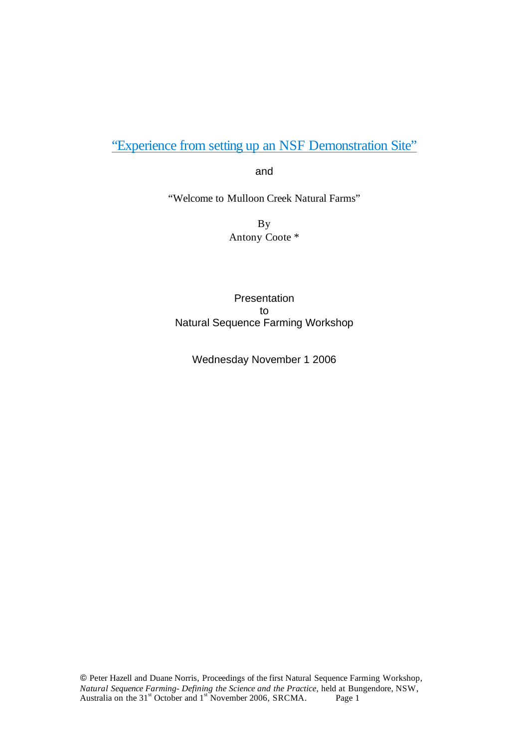"Experience from setting up an NSF Demonstration Site"

and

"Welcome to Mulloon Creek Natural Farms"

By Antony Coote \*

Presentation to Natural Sequence Farming Workshop

Wednesday November 1 2006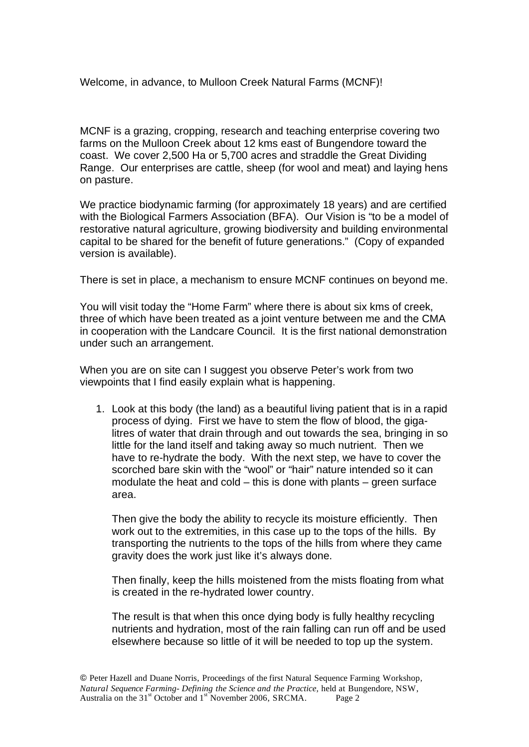Welcome, in advance, to Mulloon Creek Natural Farms (MCNF)!

MCNF is a grazing, cropping, research and teaching enterprise covering two farms on the Mulloon Creek about 12 kms east of Bungendore toward the coast. We cover 2,500 Ha or 5,700 acres and straddle the Great Dividing Range. Our enterprises are cattle, sheep (for wool and meat) and laying hens on pasture.

We practice biodynamic farming (for approximately 18 years) and are certified with the Biological Farmers Association (BFA). Our Vision is "to be a model of restorative natural agriculture, growing biodiversity and building environmental capital to be shared for the benefit of future generations." (Copy of expanded version is available).

There is set in place, a mechanism to ensure MCNF continues on beyond me.

You will visit today the "Home Farm" where there is about six kms of creek, three of which have been treated as a joint venture between me and the CMA in cooperation with the Landcare Council. It is the first national demonstration under such an arrangement.

When you are on site can I suggest you observe Peter's work from two viewpoints that I find easily explain what is happening.

1. Look at this body (the land) as a beautiful living patient that is in a rapid process of dying. First we have to stem the flow of blood, the gigalitres of water that drain through and out towards the sea, bringing in so little for the land itself and taking away so much nutrient. Then we have to re-hydrate the body. With the next step, we have to cover the scorched bare skin with the "wool" or "hair" nature intended so it can modulate the heat and cold – this is done with plants – green surface area.

Then give the body the ability to recycle its moisture efficiently. Then work out to the extremities, in this case up to the tops of the hills. By transporting the nutrients to the tops of the hills from where they came gravity does the work just like it's always done.

Then finally, keep the hills moistened from the mists floating from what is created in the re-hydrated lower country.

The result is that when this once dying body is fully healthy recycling nutrients and hydration, most of the rain falling can run off and be used elsewhere because so little of it will be needed to top up the system.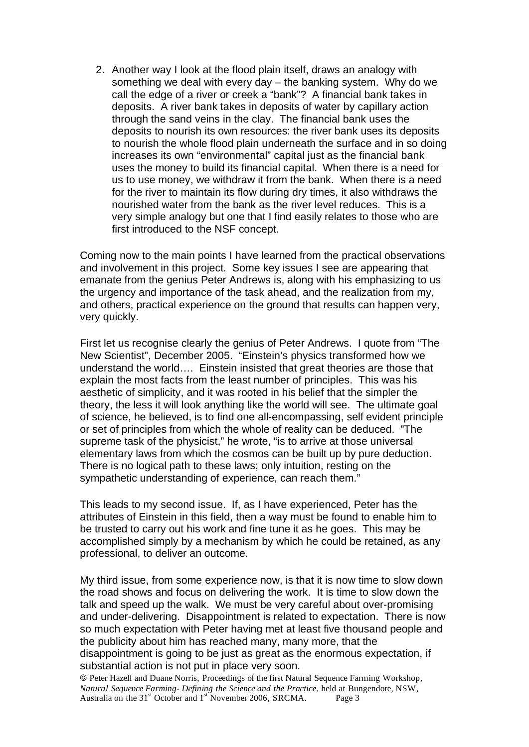2. Another way I look at the flood plain itself, draws an analogy with something we deal with every day – the banking system. Why do we call the edge of a river or creek a "bank"? A financial bank takes in deposits. A river bank takes in deposits of water by capillary action through the sand veins in the clay. The financial bank uses the deposits to nourish its own resources: the river bank uses its deposits to nourish the whole flood plain underneath the surface and in so doing increases its own "environmental" capital just as the financial bank uses the money to build its financial capital. When there is a need for us to use money, we withdraw it from the bank. When there is a need for the river to maintain its flow during dry times, it also withdraws the nourished water from the bank as the river level reduces. This is a very simple analogy but one that I find easily relates to those who are first introduced to the NSF concept.

Coming now to the main points I have learned from the practical observations and involvement in this project. Some key issues I see are appearing that emanate from the genius Peter Andrews is, along with his emphasizing to us the urgency and importance of the task ahead, and the realization from my, and others, practical experience on the ground that results can happen very, very quickly.

First let us recognise clearly the genius of Peter Andrews. I quote from "The New Scientist", December 2005. "Einstein's physics transformed how we understand the world…. Einstein insisted that great theories are those that explain the most facts from the least number of principles. This was his aesthetic of simplicity, and it was rooted in his belief that the simpler the theory, the less it will look anything like the world will see. The ultimate goal of science, he believed, is to find one all-encompassing, self evident principle or set of principles from which the whole of reality can be deduced. "The supreme task of the physicist," he wrote, "is to arrive at those universal elementary laws from which the cosmos can be built up by pure deduction. There is no logical path to these laws; only intuition, resting on the sympathetic understanding of experience, can reach them."

This leads to my second issue. If, as I have experienced, Peter has the attributes of Einstein in this field, then a way must be found to enable him to be trusted to carry out his work and fine tune it as he goes. This may be accomplished simply by a mechanism by which he could be retained, as any professional, to deliver an outcome.

My third issue, from some experience now, is that it is now time to slow down the road shows and focus on delivering the work. It is time to slow down the talk and speed up the walk. We must be very careful about over-promising and under-delivering. Disappointment is related to expectation. There is now so much expectation with Peter having met at least five thousand people and the publicity about him has reached many, many more, that the disappointment is going to be just as great as the enormous expectation, if substantial action is not put in place very soon.

 Peter Hazell and Duane Norris, Proceedings of the first Natural Sequence Farming Workshop, *Natural Sequence Farming- Defining the Science and the Practice,* held at Bungendore, NSW, Australia on the 31<sup>st</sup> October and 1<sup>st</sup> November 2006, SRCMA. Page 3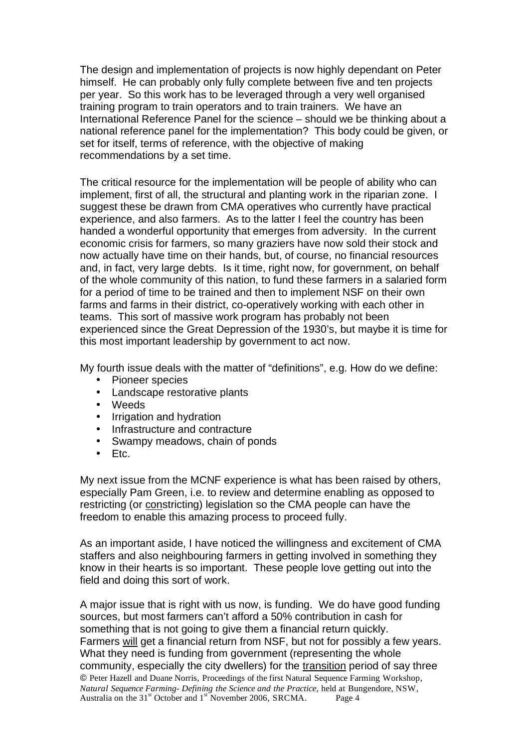The design and implementation of projects is now highly dependant on Peter himself. He can probably only fully complete between five and ten projects per year. So this work has to be leveraged through a very well organised training program to train operators and to train trainers. We have an International Reference Panel for the science – should we be thinking about a national reference panel for the implementation? This body could be given, or set for itself, terms of reference, with the objective of making recommendations by a set time.

The critical resource for the implementation will be people of ability who can implement, first of all, the structural and planting work in the riparian zone. I suggest these be drawn from CMA operatives who currently have practical experience, and also farmers. As to the latter I feel the country has been handed a wonderful opportunity that emerges from adversity. In the current economic crisis for farmers, so many graziers have now sold their stock and now actually have time on their hands, but, of course, no financial resources and, in fact, very large debts. Is it time, right now, for government, on behalf of the whole community of this nation, to fund these farmers in a salaried form for a period of time to be trained and then to implement NSF on their own farms and farms in their district, co-operatively working with each other in teams. This sort of massive work program has probably not been experienced since the Great Depression of the 1930's, but maybe it is time for this most important leadership by government to act now.

My fourth issue deals with the matter of "definitions", e.g. How do we define:

- Pioneer species
- Landscape restorative plants
- Weeds
- Irrigation and hydration
- Infrastructure and contracture
- Swampy meadows, chain of ponds
- Etc.

My next issue from the MCNF experience is what has been raised by others, especially Pam Green, i.e. to review and determine enabling as opposed to restricting (or constricting) legislation so the CMA people can have the freedom to enable this amazing process to proceed fully.

As an important aside, I have noticed the willingness and excitement of CMA staffers and also neighbouring farmers in getting involved in something they know in their hearts is so important. These people love getting out into the field and doing this sort of work.

 Peter Hazell and Duane Norris, Proceedings of the first Natural Sequence Farming Workshop, *Natural Sequence Farming- Defining the Science and the Practice,* held at Bungendore, NSW, Australia on the 31<sup>st</sup> October and 1<sup>st</sup> November 2006, SRCMA. Page 4 A major issue that is right with us now, is funding. We do have good funding sources, but most farmers can't afford a 50% contribution in cash for something that is not going to give them a financial return quickly. Farmers will get a financial return from NSF, but not for possibly a few years. What they need is funding from government (representing the whole community, especially the city dwellers) for the transition period of say three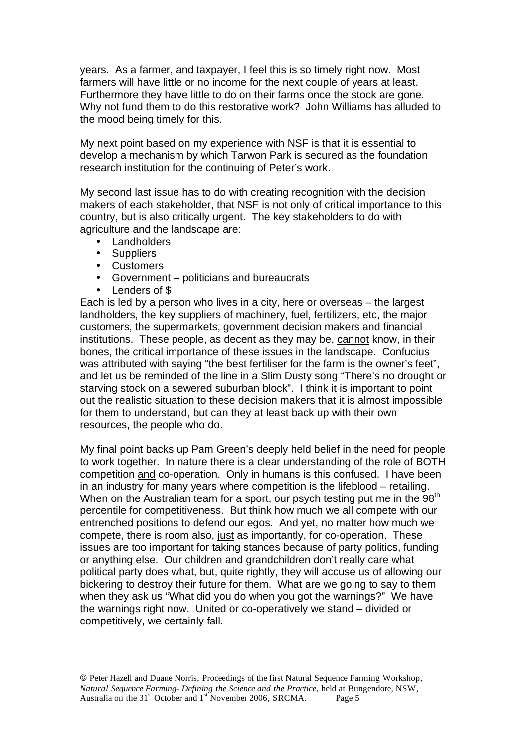years. As a farmer, and taxpayer, I feel this is so timely right now. Most farmers will have little or no income for the next couple of years at least. Furthermore they have little to do on their farms once the stock are gone. Why not fund them to do this restorative work? John Williams has alluded to the mood being timely for this.

My next point based on my experience with NSF is that it is essential to develop a mechanism by which Tarwon Park is secured as the foundation research institution for the continuing of Peter's work.

My second last issue has to do with creating recognition with the decision makers of each stakeholder, that NSF is not only of critical importance to this country, but is also critically urgent. The key stakeholders to do with agriculture and the landscape are:

- Landholders
- Suppliers
- Customers
- Government politicians and bureaucrats
- Lenders of \$

Each is led by a person who lives in a city, here or overseas – the largest landholders, the key suppliers of machinery, fuel, fertilizers, etc, the major customers, the supermarkets, government decision makers and financial institutions. These people, as decent as they may be, cannot know, in their bones, the critical importance of these issues in the landscape. Confucius was attributed with saying "the best fertiliser for the farm is the owner's feet", and let us be reminded of the line in a Slim Dusty song "There's no drought or starving stock on a sewered suburban block". I think it is important to point out the realistic situation to these decision makers that it is almost impossible for them to understand, but can they at least back up with their own resources, the people who do.

My final point backs up Pam Green's deeply held belief in the need for people to work together. In nature there is a clear understanding of the role of BOTH competition and co-operation. Only in humans is this confused. I have been in an industry for many years where competition is the lifeblood – retailing. When on the Australian team for a sport, our psych testing put me in the 98<sup>th</sup> percentile for competitiveness. But think how much we all compete with our entrenched positions to defend our egos. And yet, no matter how much we compete, there is room also, just as importantly, for co-operation. These issues are too important for taking stances because of party politics, funding or anything else. Our children and grandchildren don't really care what political party does what, but, quite rightly, they will accuse us of allowing our bickering to destroy their future for them. What are we going to say to them when they ask us "What did you do when you got the warnings?" We have the warnings right now. United or co-operatively we stand – divided or competitively, we certainly fall.